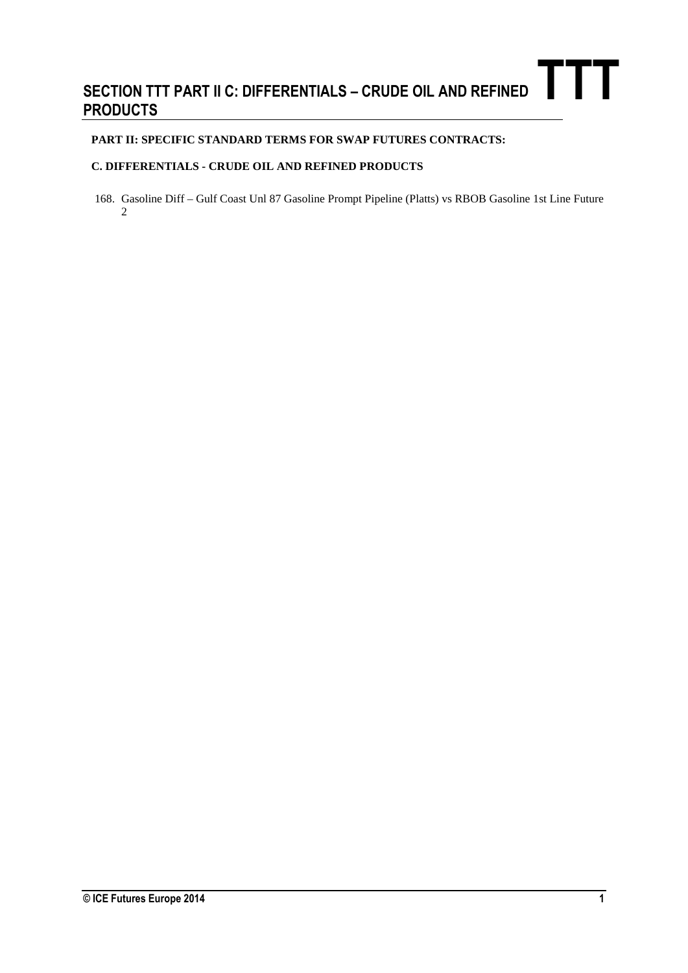## **SECTION TTT PART II C: DIFFERENTIALS – CRUDE OIL AND REFINED PRODUCTS TTT**

## **PART II: SPECIFIC STANDARD TERMS FOR SWAP FUTURES CONTRACTS:**

## **C. DIFFERENTIALS - CRUDE OIL AND REFINED PRODUCTS**

168. Gasoline Diff – Gulf Coast Unl 87 Gasoline Prompt Pipeline (Platts) vs RBOB Gasoline 1st Line Future 2